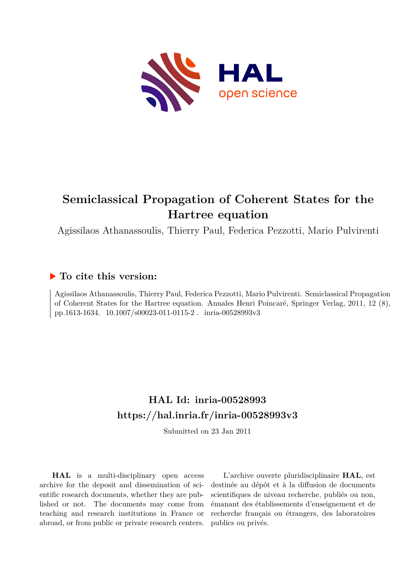

# **Semiclassical Propagation of Coherent States for the Hartree equation**

Agissilaos Athanassoulis, Thierry Paul, Federica Pezzotti, Mario Pulvirenti

# **To cite this version:**

Agissilaos Athanassoulis, Thierry Paul, Federica Pezzotti, Mario Pulvirenti. Semiclassical Propagation of Coherent States for the Hartree equation. Annales Henri Poincaré, Springer Verlag, 2011, 12 (8), pp.1613-1634.  $10.1007/\mathrm{s}00023\text{-}011\text{-}0115\text{-}2$ . inria-00528993v3

# **HAL Id: inria-00528993 <https://hal.inria.fr/inria-00528993v3>**

Submitted on 23 Jan 2011

**HAL** is a multi-disciplinary open access archive for the deposit and dissemination of scientific research documents, whether they are published or not. The documents may come from teaching and research institutions in France or abroad, or from public or private research centers.

L'archive ouverte pluridisciplinaire **HAL**, est destinée au dépôt et à la diffusion de documents scientifiques de niveau recherche, publiés ou non, émanant des établissements d'enseignement et de recherche français ou étrangers, des laboratoires publics ou privés.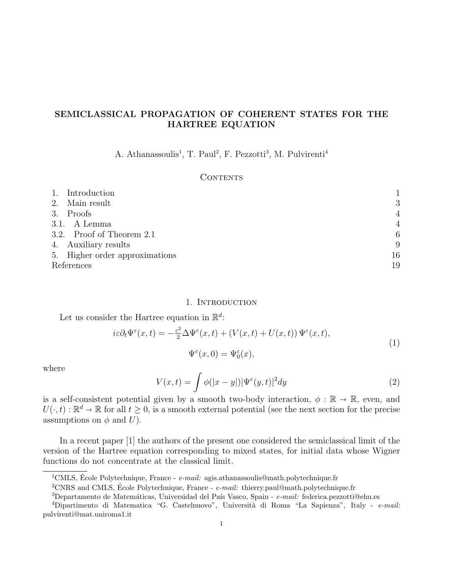# SEMICLASSICAL PROPAGATION OF COHERENT STATES FOR THE HARTREE EQUATION

A. Athanassoulis<sup>1</sup>, T. Paul<sup>2</sup>, F. Pezzotti<sup>3</sup>, M. Pulvirenti<sup>4</sup>

## **CONTENTS**

|            | 1. Introduction                |                |
|------------|--------------------------------|----------------|
|            | 2. Main result                 | 3              |
|            | 3. Proofs                      | $\overline{4}$ |
|            | 3.1. A Lemma                   | $\overline{4}$ |
|            | 3.2. Proof of Theorem 2.1      | 6              |
|            | 4. Auxiliary results           | 9              |
|            | 5. Higher order approximations | 16             |
| References |                                | 19             |

#### 1. INTRODUCTION

Let us consider the Hartree equation in 
$$
\mathbb{R}^d
$$
:

$$
i\varepsilon \partial_t \Psi^{\varepsilon}(x,t) = -\frac{\varepsilon^2}{2} \Delta \Psi^{\varepsilon}(x,t) + (V(x,t) + U(x,t)) \Psi^{\varepsilon}(x,t),
$$
  

$$
\Psi^{\varepsilon}(x,0) = \Psi^{\varepsilon}_0(x),
$$
\n(1)

where

$$
V(x,t) = \int \phi(|x-y|) |\Psi^{\varepsilon}(y,t)|^2 dy \tag{2}
$$

is a self-consistent potential given by a smooth two-body interaction,  $\phi : \mathbb{R} \to \mathbb{R}$ , even, and  $U(\cdot, t): \mathbb{R}^d \to \mathbb{R}$  for all  $t \geq 0$ , is a smooth external potential (see the next section for the precise<br>assumptions on  $\phi$  and  $U$ ) assumptions on  $\phi$  and  $U$ ).

In a recent paper [1] the authors of the present one considered the semiclassical limit of the version of the Hartree equation corresponding to mixed states, for initial data whose Wigner functions do not concentrate at the classical limit.

<sup>&</sup>lt;sup>1</sup>CMLS, École Polytechnique, France -  $e$ -mail: agis.athanassoulis@math.polytechnique.fr

<sup>&</sup>lt;sup>2</sup>CNRS and CMLS, Ecole Polytechnique, France -  $e$ -mail: thierry.paul@math.polytechnique.fr

 $3$ Departamento de Matemáticas, Universidad del País Vasco, Spain - e-mail: federica.pezzotti@ehu.es

<sup>&</sup>lt;sup>4</sup>Dipartimento di Matematica "G. Castelnuovo", Università di Roma "La Sapienza", Italy - e-mail: pulvirenti@mat.uniroma1.it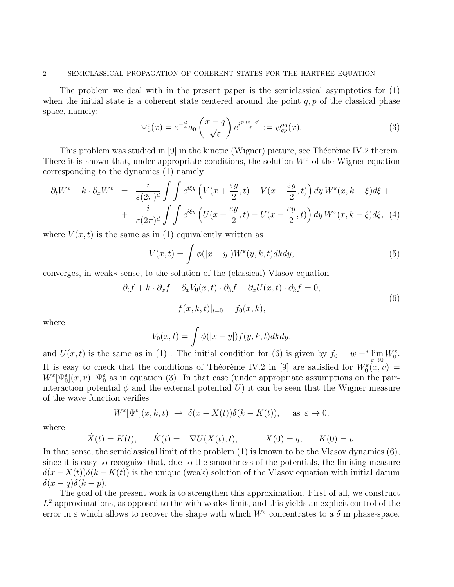#### 2 SEMICLASSICAL PROPAGATION OF COHERENT STATES FOR THE HARTREE EQUATION

The problem we deal with in the present paper is the semiclassical asymptotics for (1) when the initial state is a coherent state centered around the point  $q, p$  of the classical phase space, namely:

$$
\Psi_0^{\varepsilon}(x) = \varepsilon^{-\frac{d}{4}} a_0 \left( \frac{x - q}{\sqrt{\varepsilon}} \right) e^{i \frac{p \cdot (x - q)}{\varepsilon}} := \psi_{qp}^{a_0}(x). \tag{3}
$$

This problem was studied in  $[9]$  in the kinetic (Wigner) picture, see Théorème IV.2 therein. There it is shown that, under appropriate conditions, the solution  $W^{\varepsilon}$  of the Wigner equation corresponding to the dynamics (1) namely

$$
\partial_t W^{\varepsilon} + k \cdot \partial_x W^{\varepsilon} = \frac{i}{\varepsilon (2\pi)^d} \int \int e^{i\xi y} \left( V(x + \frac{\varepsilon y}{2}, t) - V(x - \frac{\varepsilon y}{2}, t) \right) dy W^{\varepsilon}(x, k - \xi) d\xi +
$$
  
+ 
$$
\frac{i}{\varepsilon (2\pi)^d} \int \int e^{i\xi y} \left( U(x + \frac{\varepsilon y}{2}, t) - U(x - \frac{\varepsilon y}{2}, t) \right) dy W^{\varepsilon}(x, k - \xi) d\xi, \tag{4}
$$

where  $V(x, t)$  is the same as in (1) equivalently written as

$$
V(x,t) = \int \phi(|x-y|)W^{\varepsilon}(y,k,t)dkdy,
$$
\n(5)

converges, in weak∗-sense, to the solution of the (classical) Vlasov equation

$$
\partial_t f + k \cdot \partial_x f - \partial_x V_0(x, t) \cdot \partial_k f - \partial_x U(x, t) \cdot \partial_k f = 0,
$$
  

$$
f(x, k, t)|_{t=0} = f_0(x, k),
$$
 (6)

where

$$
V_0(x,t) = \int \phi(|x-y|) f(y,k,t) dk dy,
$$

and  $U(x,t)$  is the same as in (1). The initial condition for (6) is given by  $f_0 = w -^* \lim_{\varepsilon \to 0} W_0^{\varepsilon}$ . It is easy to check that the conditions of Théorème IV.2 in [9] are satisfied for  $W_0^{\varepsilon}(x,v) =$  $W^{\varepsilon}[\Psi_0^{\varepsilon}](x,v), \Psi_0^{\varepsilon}$  as in equation (3). In that case (under appropriate assumptions on the pairinteraction potential  $\phi$  and the external potential U) it can be seen that the Wigner measure of the wave function verifies

$$
W^\varepsilon[\Psi^\varepsilon](x,k,t) ~\rightharpoonup ~ \delta(x-X(t))\delta(k-K(t)),\quad \text{ as } \,\varepsilon\to 0,
$$

where

$$
\dot{X}(t) = K(t), \quad \dot{K}(t) = -\nabla U(X(t), t), \quad X(0) = q, \quad K(0) = p.
$$

In that sense, the semiclassical limit of the problem (1) is known to be the Vlasov dynamics (6), since it is easy to recognize that, due to the smoothness of the potentials, the limiting measure  $\delta(x - X(t))\delta(k - K(t))$  is the unique (weak) solution of the Vlasov equation with initial datum  $\delta(x-q)\delta(k-p).$ 

The goal of the present work is to strengthen this approximation. First of all, we construct  $L^2$  approximations, as opposed to the with weak∗-limit, and this yields an explicit control of the error in  $\varepsilon$  which allows to recover the shape with which  $W^{\varepsilon}$  concentrates to a  $\delta$  in phase-space.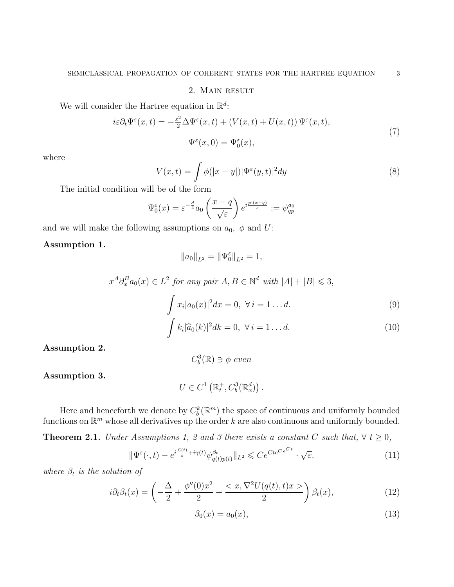### 2. Main result

We will consider the Hartree equation in  $\mathbb{R}^d$ :

$$
i\varepsilon \partial_t \Psi^{\varepsilon}(x,t) = -\frac{\varepsilon^2}{2} \Delta \Psi^{\varepsilon}(x,t) + (V(x,t) + U(x,t)) \Psi^{\varepsilon}(x,t),
$$
  

$$
\Psi^{\varepsilon}(x,0) = \Psi^{\varepsilon}_0(x),
$$
\n(7)

where

$$
V(x,t) = \int \phi(|x-y|) |\Psi^{\varepsilon}(y,t)|^2 dy
$$
\n(8)

The initial condition will be of the form

$$
\Psi_0^{\varepsilon}(x) = \varepsilon^{-\frac{d}{4}} a_0 \left( \frac{x - q}{\sqrt{\varepsilon}} \right) e^{i \frac{p \cdot (x - q)}{\varepsilon}} := \psi_{qp}^{a_0}
$$

and we will make the following assumptions on  $a_0$ ,  $\phi$  and U:

Assumption 1.

$$
||a_0||_{L^2} = ||\Psi_0^\varepsilon||_{L^2} = 1,
$$

$$
x^{A}\partial_{x}^{B}a_{0}(x) \in L^{2} \text{ for any pair } A, B \in \mathbb{N}^{d} \text{ with } |A| + |B| \leq 3,
$$

$$
\int x_i |a_0(x)|^2 dx = 0, \ \forall \, i = 1 \dots d. \tag{9}
$$

$$
\int k_i |\widehat{a}_0(k)|^2 dk = 0, \ \forall \, i = 1 \dots d. \tag{10}
$$

Assumption 2.

$$
C_b^3(\mathbb{R}) \ni \phi \ even
$$

Assumption 3.

$$
U \in C^1\left(\mathbb{R}_t^+, C_b^3(\mathbb{R}_x^d)\right).
$$

Here and henceforth we denote by  $C_b^k(\mathbb{R}^m)$  the space of continuous and uniformly bounded functions on  $\mathbb{R}^m$  whose all derivatives up the order k are also continuous and uniformly bounded.

**Theorem 2.1.** Under Assumptions 1, 2 and 3 there exists a constant C such that,  $\forall t \geq 0$ ,

$$
\|\Psi^{\varepsilon}(\cdot,t) - e^{i\frac{\mathcal{L}(t)}{\varepsilon} + i\gamma(t)}\psi^{\beta_t}_{q(t)p(t)}\|_{L^2} \leqslant Ce^{Cte^{C\varepsilon^{Ct}}} \cdot \sqrt{\varepsilon}.
$$
\n(11)

where  $\beta_t$  is the solution of

$$
i\partial_t \beta_t(x) = \left(-\frac{\Delta}{2} + \frac{\phi''(0)x^2}{2} + \frac{\langle x, \nabla^2 U(q(t), t)x \rangle}{2}\right) \beta_t(x),\tag{12}
$$

$$
\beta_0(x) = a_0(x),\tag{13}
$$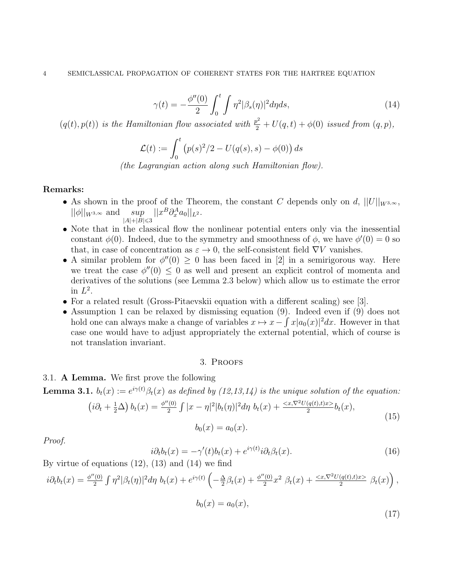$$
\gamma(t) = -\frac{\phi''(0)}{2} \int_0^t \int \eta^2 |\beta_s(\eta)|^2 d\eta ds, \qquad (14)
$$

 $(q(t), p(t))$  is the Hamiltonian flow associated with  $\frac{p^2}{2} + U(q, t) + \phi(0)$  issued from  $(q, p)$ ,

$$
\mathcal{L}(t) := \int_0^t \left( p(s)^2/2 - U(q(s), s) - \phi(0) \right) ds
$$

(the Lagrangian action along such Hamiltonian flow).

#### Remarks:

- As shown in the proof of the Theorem, the constant C depends only on d,  $||U||_{W^{3,\infty}}$ ,  $||\phi||_{W^{3,\infty}}$  and sup  $|A|+|B| \leqslant 3$  $||x^B \partial_x^A a_0||_{L^2}.$
- Note that in the classical flow the nonlinear potential enters only via the inessential constant  $\phi(0)$ . Indeed, due to the symmetry and smoothness of  $\phi$ , we have  $\phi'(0) = 0$  so that, in case of concentration as  $\varepsilon \to 0$ , the self-consistent field  $\nabla V$  vanishes.
- A similar problem for  $\phi''(0) \geq 0$  has been faced in [2] in a semirigorous way. Here we treat the case  $\phi''(0) \leq 0$  as well and present an explicit control of momenta and derivatives of the solutions (see Lemma 2.3 below) which allow us to estimate the error in  $L^2$ .
- For a related result (Gross-Pitaevskii equation with a different scaling) see [3].
- Assumption 1 can be relaxed by dismissing equation (9). Indeed even if (9) does not hold one can always make a change of variables  $x \mapsto x - \int x |a_0(x)|^2 dx$ . However in that case one would have to adjust appropriately the external potential, which of course is not translation invariant.

#### 3. Proofs

### 3.1. A Lemma. We first prove the following

 $\left(i\partial_t\right)$ 

**Lemma 3.1.**  $b_t(x) := e^{i\gamma(t)}\beta_t(x)$  as defined by  $(12, 13, 14)$  is the unique solution of the equation:

$$
\frac{1}{2}\Delta\bigg\|b_t(x) = \frac{\phi''(0)}{2} \int |x - \eta|^2 |b_t(\eta)|^2 d\eta \ b_t(x) + \frac{}{2} b_t(x),
$$
\n
$$
b_0(x) = a_0(x). \tag{15}
$$

Proof.

$$
i\partial_t b_t(x) = -\gamma'(t)b_t(x) + e^{i\gamma(t)}i\partial_t \beta_t(x). \tag{16}
$$

By virtue of equations  $(12)$ ,  $(13)$  and  $(14)$  we find

$$
i\partial_t b_t(x) = \frac{\phi''(0)}{2} \int \eta^2 |\beta_t(\eta)|^2 d\eta \ b_t(x) + e^{i\gamma(t)} \left( -\frac{\Delta}{2} \beta_t(x) + \frac{\phi''(0)}{2} x^2 \ \beta_t(x) + \frac{\langle x, \nabla^2 U(q(t), t)x \rangle}{2} \ \beta_t(x) \right),
$$

$$
b_0(x) = a_0(x),
$$
\n(17)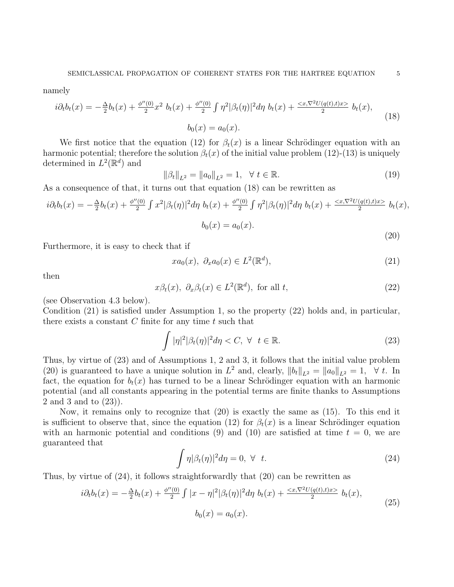namely

$$
i\partial_t b_t(x) = -\frac{\Delta}{2}b_t(x) + \frac{\phi''(0)}{2}x^2 b_t(x) + \frac{\phi''(0)}{2} \int \eta^2 |\beta_t(\eta)|^2 d\eta b_t(x) + \frac{\langle x, \nabla^2 U(q(t), t)x \rangle}{2} b_t(x),
$$
  
\n
$$
b_0(x) = a_0(x).
$$
\n(18)

We first notice that the equation (12) for  $\beta_t(x)$  is a linear Schrödinger equation with an harmonic potential; therefore the solution  $\beta_t(x)$  of the initial value problem (12)-(13) is uniquely determined in  $L^2(\mathbb{R}^d)$  and

$$
\|\beta_t\|_{L^2} = \|a_0\|_{L^2} = 1, \quad \forall \ t \in \mathbb{R}.
$$
\n(19)

As a consequence of that, it turns out that equation (18) can be rewritten as

$$
i\partial_t b_t(x) = -\frac{\Delta}{2}b_t(x) + \frac{\phi''(0)}{2} \int x^2 |\beta_t(\eta)|^2 d\eta \ b_t(x) + \frac{\phi''(0)}{2} \int \eta^2 |\beta_t(\eta)|^2 d\eta \ b_t(x) + \frac{\langle x, \nabla^2 U(q(t), t)x \rangle}{2} \ b_t(x),
$$
  

$$
b_0(x) = a_0(x).
$$

Furthermore, it is easy to check that if

$$
xa_0(x), \ \partial_x a_0(x) \in L^2(\mathbb{R}^d),\tag{21}
$$

then

$$
x\beta_t(x), \ \partial_x\beta_t(x) \in L^2(\mathbb{R}^d), \text{ for all } t,
$$
\n
$$
(22)
$$

(see Observation 4.3 below).

Condition (21) is satisfied under Assumption 1, so the property (22) holds and, in particular, there exists a constant  $C$  finite for any time  $t$  such that

$$
\int |\eta|^2 |\beta_t(\eta)|^2 d\eta < C, \ \forall \ \ t \in \mathbb{R}.\tag{23}
$$

Thus, by virtue of (23) and of Assumptions 1, 2 and 3, it follows that the initial value problem (20) is guaranteed to have a unique solution in  $L^2$  and, clearly,  $||b_t||_{L^2} = ||a_0||_{L^2} = 1$ ,  $\forall t$ . In fact, the equation for  $b_t(x)$  has turned to be a linear Schrödinger equation with an harmonic potential (and all constants appearing in the potential terms are finite thanks to Assumptions 2 and 3 and to (23)).

Now, it remains only to recognize that (20) is exactly the same as (15). To this end it is sufficient to observe that, since the equation (12) for  $\beta_t(x)$  is a linear Schrödinger equation with an harmonic potential and conditions (9) and (10) are satisfied at time  $t = 0$ , we are guaranteed that

$$
\int \eta |\beta_t(\eta)|^2 d\eta = 0, \ \forall \ \ t.
$$
\n(24)

Thus, by virtue of (24), it follows straightforwardly that (20) can be rewritten as

$$
i\partial_t b_t(x) = -\frac{\Delta}{2}b_t(x) + \frac{\phi''(0)}{2} \int |x - \eta|^2 |\beta_t(\eta)|^2 d\eta \ b_t(x) + \frac{\langle x, \nabla^2 U(q(t), t)x \rangle}{2} \ b_t(x),
$$
  

$$
b_0(x) = a_0(x).
$$
 (25)

(20)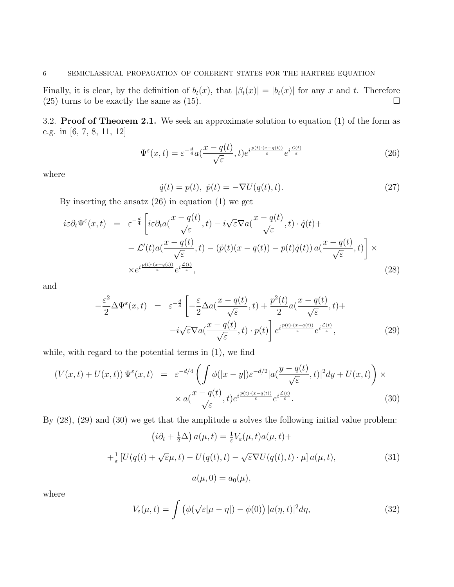Finally, it is clear, by the definition of  $b_t(x)$ , that  $|\beta_t(x)| = |b_t(x)|$  for any x and t. Therefore (25) turns to be exactly the same as (15).  $\Box$ 

3.2. Proof of Theorem 2.1. We seek an approximate solution to equation (1) of the form as e.g. in [6, 7, 8, 11, 12]

$$
\Psi^{\varepsilon}(x,t) = \varepsilon^{-\frac{d}{4}} a(\frac{x - q(t)}{\sqrt{\varepsilon}},t) e^{i\frac{p(t) \cdot (x - q(t))}{\varepsilon}} e^{i\frac{\mathcal{L}(t)}{\varepsilon}} \tag{26}
$$

where

$$
\dot{q}(t) = p(t), \ \dot{p}(t) = -\nabla U(q(t), t). \tag{27}
$$

By inserting the ansatz (26) in equation (1) we get

$$
i\varepsilon \partial_t \Psi^{\varepsilon}(x,t) = \varepsilon^{-\frac{d}{4}} \left[ i\varepsilon \partial_t a(\frac{x - q(t)}{\sqrt{\varepsilon}}, t) - i\sqrt{\varepsilon} \nabla a(\frac{x - q(t)}{\sqrt{\varepsilon}}, t) \cdot \dot{q}(t) + -\mathcal{L}'(t) a(\frac{x - q(t)}{\sqrt{\varepsilon}}, t) - (\dot{p}(t)(x - q(t)) - p(t)\dot{q}(t)) a(\frac{x - q(t)}{\sqrt{\varepsilon}}, t) \right] \times \times e^{i\frac{p(t) \cdot (x - q(t))}{\varepsilon}} e^{i\frac{\mathcal{L}(t)}{\varepsilon}},
$$
\n(28)

and

$$
-\frac{\varepsilon^2}{2}\Delta\Psi^{\varepsilon}(x,t) = \varepsilon^{-\frac{d}{4}} \left[ -\frac{\varepsilon}{2}\Delta a(\frac{x-q(t)}{\sqrt{\varepsilon}},t) + \frac{p^2(t)}{2}a(\frac{x-q(t)}{\sqrt{\varepsilon}},t) + \right. \\
\left. -i\sqrt{\varepsilon}\nabla a(\frac{x-q(t)}{\sqrt{\varepsilon}},t) \cdot p(t) \right] e^{i\frac{p(t)\cdot(x-q(t))}{\varepsilon}} e^{i\frac{\mathcal{L}(t)}{\varepsilon}},\tag{29}
$$

while, with regard to the potential terms in (1), we find

$$
(V(x,t) + U(x,t)) \Psi^{\varepsilon}(x,t) = \varepsilon^{-d/4} \left( \int \phi(|x-y|) \varepsilon^{-d/2} |a(\frac{y-q(t)}{\sqrt{\varepsilon}},t)|^2 dy + U(x,t) \right) \times \times a(\frac{x-q(t)}{\sqrt{\varepsilon}},t) e^{i\frac{p(t)\cdot(x-q(t))}{\varepsilon}} e^{i\frac{\mathcal{L}(t)}{\varepsilon}}.
$$
\n(30)

By  $(28)$ ,  $(29)$  and  $(30)$  we get that the amplitude a solves the following initial value problem:

$$
\left(i\partial_t + \frac{1}{2}\Delta\right)a(\mu, t) = \frac{1}{\varepsilon}V_{\varepsilon}(\mu, t)a(\mu, t) +
$$
  

$$
+ \frac{1}{\varepsilon}\left[U(q(t) + \sqrt{\varepsilon}\mu, t) - U(q(t), t) - \sqrt{\varepsilon}\nabla U(q(t), t) \cdot \mu\right]a(\mu, t),
$$
  

$$
a(\mu, 0) = a_0(\mu),
$$
 (31)

where

$$
V_{\varepsilon}(\mu, t) = \int \left( \phi(\sqrt{\varepsilon}|\mu - \eta|) - \phi(0) \right) |a(\eta, t)|^2 d\eta,
$$
 (32)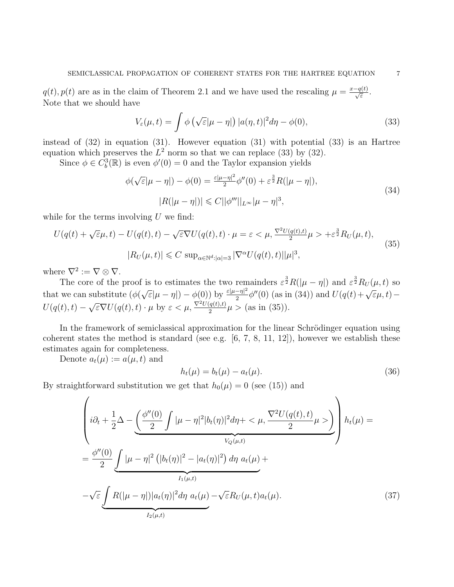$q(t), p(t)$  are as in the claim of Theorem 2.1 and we have used the rescaling  $\mu = \frac{x-q(t)}{\sqrt{\varepsilon}}$ . Note that we should have

$$
V_{\varepsilon}(\mu, t) = \int \phi \left( \sqrt{\varepsilon} |\mu - \eta| \right) |a(\eta, t)|^2 d\eta - \phi(0), \tag{33}
$$

instead of (32) in equation (31). However equation (31) with potential (33) is an Hartree equation which preserves the  $L^2$  norm so that we can replace (33) by (32).

Since  $\phi \in C_b^3(\mathbb{R})$  is even  $\phi'(0) = 0$  and the Taylor expansion yields

$$
\phi(\sqrt{\varepsilon}|\mu-\eta|) - \phi(0) = \frac{\varepsilon|\mu-\eta|^2}{2}\phi''(0) + \varepsilon^{\frac{3}{2}}R(|\mu-\eta|),
$$
  

$$
|R(|\mu-\eta|)| \leq C||\phi'''||_{L^{\infty}}|\mu-\eta|^3,
$$
\n(34)

while for the terms involving  $U$  we find:

$$
U(q(t) + \sqrt{\varepsilon}\mu, t) - U(q(t), t) - \sqrt{\varepsilon}\nabla U(q(t), t) \cdot \mu = \varepsilon < \mu, \frac{\nabla^2 U(q(t), t)}{2} \mu > +\varepsilon^{\frac{3}{2}} R_U(\mu, t),
$$
  

$$
|R_U(\mu, t)| \leq C \sup_{\alpha \in \mathbb{N}^d : |\alpha| = 3} |\nabla^{\alpha} U(q(t), t)| |\mu|^3,
$$
 (35)

where  $\nabla^2 := \nabla \otimes \nabla$ .

The core of the proof is to estimates the two remainders  $\varepsilon^{\frac{3}{2}}R(|\mu-\eta|)$  and  $\varepsilon^{\frac{3}{2}}R_U(\mu,t)$  so that we can substitute  $(\phi)$  $\sqrt{\varepsilon}|\mu-\eta|$  –  $\phi(0)$ ) by  $\frac{\varepsilon|\mu-\eta|^2}{2}$  $\frac{(-\eta)^2}{2} \phi''(0)$  (as in (34)) and  $U(q(t)+\sqrt{\varepsilon}\mu,t)$  –  $U(q(t), t) \sqrt{\varepsilon} \nabla U(q(t), t) \cdot \mu$  by  $\varepsilon < \mu$ ,  $\frac{\nabla^2 U(q(t), t)}{2} \mu > \text{(as in (35))}.$ 

In the framework of semiclassical approximation for the linear Schrödinger equation using coherent states the method is standard (see e.g.  $[6, 7, 8, 11, 12]$ ), however we establish these estimates again for completeness.

Denote  $a_t(\mu) := a(\mu, t)$  and

$$
h_t(\mu) = b_t(\mu) - a_t(\mu).
$$
 (36)

By straightforward substitution we get that  $h_0(\mu) = 0$  (see (15)) and

$$
\begin{aligned}\n&\left(i\partial_t + \frac{1}{2}\Delta - \underbrace{\left(\frac{\phi''(0)}{2}\int |\mu - \eta|^2 |b_t(\eta)|^2 d\eta + \langle \mu, \frac{\nabla^2 U(q(t), t)}{2} \mu \rangle\right)}_{V_Q(\mu, t)}\right) h_t(\mu) = \\
&= \frac{\phi''(0)}{2} \underbrace{\int |\mu - \eta|^2 \left(|b_t(\eta)|^2 - |a_t(\eta)|^2\right) d\eta \ a_t(\mu)}_{I_1(\mu, t)} + \\
&\quad - \sqrt{\varepsilon} \underbrace{\int R(|\mu - \eta|)|a_t(\eta)|^2 d\eta \ a_t(\mu)}_{I_2(\mu, t)} - \sqrt{\varepsilon} R_U(\mu, t) a_t(\mu).\n\end{aligned} \tag{37}
$$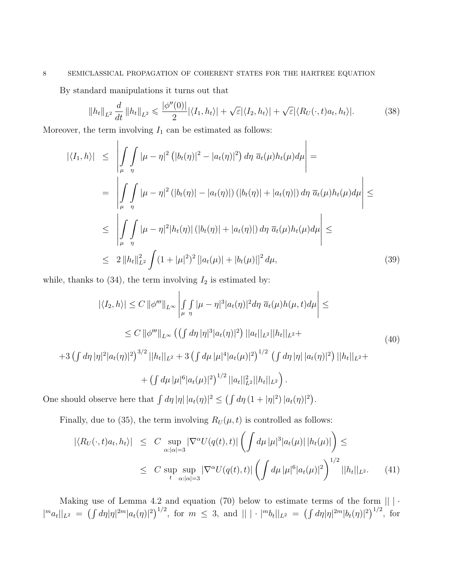# 8 SEMICLASSICAL PROPAGATION OF COHERENT STATES FOR THE HARTREE EQUATION

By standard manipulations it turns out that

 $\mathbf{I}$ 

$$
||h_t||_{L^2}\frac{d}{dt}||h_t||_{L^2} \leqslant \frac{|\phi''(0)|}{2}|\langle I_1, h_t\rangle| + \sqrt{\varepsilon}|\langle I_2, h_t\rangle| + \sqrt{\varepsilon}|\langle R_U(\cdot, t)a_t, h_t\rangle|.
$$
 (38)

 $\overline{1}$ 

Moreover, the term involving  $I_1$  can be estimated as follows:

$$
\begin{split}\n|\langle I_{1},h\rangle| &\leq \left| \int\int\limits_{\mu} \mu - \eta|^{2} \left( |b_{t}(\eta)|^{2} - |a_{t}(\eta)|^{2} \right) d\eta \, \overline{a}_{t}(\mu) h_{t}(\mu) d\mu \right| = \\
&= \left| \int\int\limits_{\mu} \mu - \eta|^{2} \left( |b_{t}(\eta)| - |a_{t}(\eta)| \right) \left( |b_{t}(\eta)| + |a_{t}(\eta)| \right) d\eta \, \overline{a}_{t}(\mu) h_{t}(\mu) d\mu \right| \leq \\
&\leq \left| \int\int\limits_{\mu} \mu - \eta|^{2} |h_{t}(\eta)| \left( |b_{t}(\eta)| + |a_{t}(\eta)| \right) d\eta \, \overline{a}_{t}(\mu) h_{t}(\mu) d\mu \right| \leq \\
&\leq 2 \left\| h_{t} \right\|_{L^{2}}^{2} \int (1 + |\mu|^{2})^{2} \left[ |a_{t}(\mu)| + |b_{t}(\mu)| \right]^{2} d\mu,\n\end{split} \tag{39}
$$

while, thanks to  $(34)$ , the term involving  $I_2$  is estimated by:

$$
|\langle I_2, h \rangle| \le C \|\phi'''\|_{L^{\infty}} \left| \int\int\limits_{\mu} |\mu - \eta|^3 |a_t(\eta)|^2 d\eta \, \overline{a}_t(\mu) h(\mu, t) d\mu \right| \le
$$
  
\n
$$
\le C \|\phi'''\|_{L^{\infty}} \left( \int d\eta |\eta|^3 |a_t(\eta)|^2 \right) ||a_t||_{L^2} ||h_t||_{L^2} +
$$
  
\n
$$
+ 3 \left( \int d\eta |\eta|^2 |a_t(\eta)|^2 \right)^{3/2} ||h_t||_{L^2} + 3 \left( \int d\mu |\mu|^4 |a_t(\mu)|^2 \right)^{1/2} \left( \int d\eta |\eta| |a_t(\eta)|^2 \right) ||h_t||_{L^2} +
$$
  
\n
$$
+ \left( \int d\mu |\mu|^6 |a_t(\mu)|^2 \right)^{1/2} ||a_t||_{L^2}^2 ||h_t||_{L^2} \right).
$$
  
\n(40)

One should observe here that  $\int d\eta |\eta| |a_t(\eta)|^2 \leq (\int d\eta (1+ |\eta|^2) |a_t(\eta)|^2)$ .

Finally, due to (35), the term involving  $R_U(\mu, t)$  is controlled as follows:

$$
|\langle R_U(\cdot, t)a_t, h_t \rangle| \leq C \sup_{\alpha: |\alpha|=3} |\nabla^{\alpha} U(q(t), t)| \left( \int d\mu |\mu|^3 |a_t(\mu)| |h_t(\mu)| \right) \leq
$$
  
 
$$
\leq C \sup_{t} \sup_{\alpha: |\alpha|=3} |\nabla^{\alpha} U(q(t), t)| \left( \int d\mu |\mu|^6 |a_t(\mu)|^2 \right)^{1/2} ||h_t||_{L^2}.
$$
 (41)

Making use of Lemma 4.2 and equation (70) below to estimate terms of the form  $|| \cdot || \cdot ||$  $||m_{a_t}||_{L^2} = \left(\int d\eta |\eta|^{2m} |a_t(\eta)|^2\right)^{1/2}$ , for  $m \leq 3$ , and  $|| |\cdot|^{m} b_t||_{L^2} = \left(\int d\eta |\eta|^{2m} |b_t(\eta)|^2\right)^{1/2}$ , for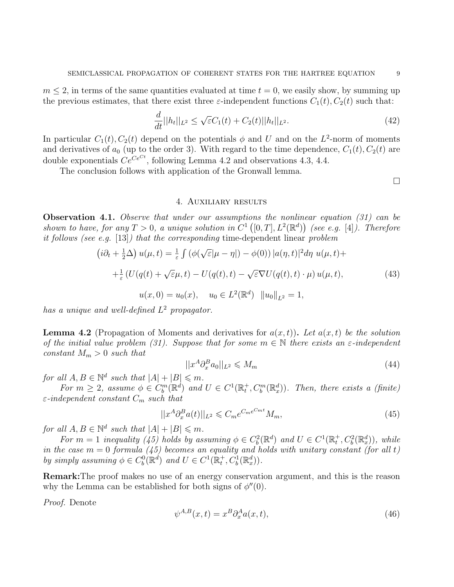$m \leq 2$ , in terms of the same quantities evaluated at time  $t = 0$ , we easily show, by summing up the previous estimates, that there exist three  $\varepsilon$ -independent functions  $C_1(t)$ ,  $C_2(t)$  such that:

$$
\frac{d}{dt}||h_t||_{L^2} \le \sqrt{\varepsilon}C_1(t) + C_2(t)||h_t||_{L^2}.
$$
\n(42)

In particular  $C_1(t)$ ,  $C_2(t)$  depend on the potentials  $\phi$  and U and on the L<sup>2</sup>-norm of moments and derivatives of  $a_0$  (up to the order 3). With regard to the time dependence,  $C_1(t)$ ,  $C_2(t)$  are double exponentials  $Ce^{Ce^{Ct}}$ , following Lemma 4.2 and observations 4.3, 4.4.

The conclusion follows with application of the Gronwall lemma.

 $\Box$ 

#### 4. Auxiliary results

**Observation 4.1.** Observe that under our assumptions the nonlinear equation  $(31)$  can be shown to have, for any  $T > 0$ , a unique solution in  $C^1([0,T], L^2(\mathbb{R}^d))$  (see e.g. [4]). Therefore it follows (see e.g. [13]) that the corresponding time-dependent linear problem

$$
(i\partial_t + \frac{1}{2}\Delta) u(\mu, t) = \frac{1}{\varepsilon} \int (\phi(\sqrt{\varepsilon}|\mu - \eta|) - \phi(0)) |a(\eta, t)|^2 d\eta u(\mu, t) +
$$
  
+
$$
\frac{1}{\varepsilon} (U(q(t) + \sqrt{\varepsilon}\mu, t) - U(q(t), t) - \sqrt{\varepsilon} \nabla U(q(t), t) \cdot \mu) u(\mu, t),
$$
  

$$
u(x, 0) = u_0(x), \quad u_0 \in L^2(\mathbb{R}^d) ||u_0||_{L^2} = 1,
$$
 (43)

has a unique and well-defined  $L^2$  propagator.

**Lemma 4.2** (Propagation of Moments and derivatives for  $a(x,t)$ ). Let  $a(x,t)$  be the solution of the initial value problem (31). Suppose that for some  $m \in \mathbb{N}$  there exists an  $\varepsilon$ -independent constant  $M_m > 0$  such that

$$
||x^A \partial_x^B a_0||_{L^2} \leqslant M_m \tag{44}
$$

for all  $A, B \in \mathbb{N}^d$  such that  $|A| + |B| \leq m$ .

For  $m \geq 2$ , assume  $\phi \in C_b^m(\mathbb{R}^d)$  and  $U \in C^1(\mathbb{R}_t^+, C_b^m(\mathbb{R}_x^d))$ . Then, there exists a (finite)  $\varepsilon$ -independent constant  $C_m$  such that

$$
||x^A \partial_x^B a(t)||_{L^2} \leqslant C_m e^{C_m e^{C_m t}} M_m,\tag{45}
$$

for all  $A, B \in \mathbb{N}^d$  such that  $|A| + |B| \leq m$ .

For  $m = 1$  inequality (45) holds by assuming  $\phi \in C_b^2(\mathbb{R}^d)$  and  $U \in C^1(\mathbb{R}_t^+, C_b^2(\mathbb{R}_x^d))$ , while in the case  $m = 0$  formula (45) becomes an equality and holds with unitary constant (for all t) by simply assuming  $\phi \in C_b^0(\mathbb{R}^d)$  and  $U \in C^1(\mathbb{R}_t^+, C_b^1(\mathbb{R}_x^d))$ .

Remark:The proof makes no use of an energy conservation argument, and this is the reason why the Lemma can be established for both signs of  $\phi''(0)$ .

Proof. Denote

$$
\psi^{A,B}(x,t) = x^B \partial_x^A a(x,t),\tag{46}
$$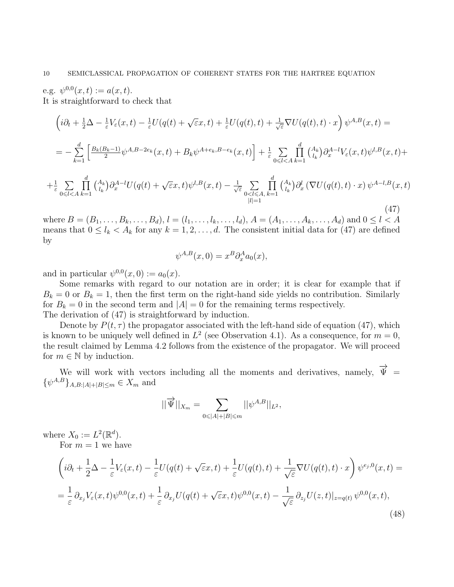e.g.  $\psi^{0,0}(x,t) := a(x,t)$ . It is straightforward to check that

$$
\left(i\partial_t + \frac{1}{2}\Delta - \frac{1}{\varepsilon}V_{\varepsilon}(x,t) - \frac{1}{\varepsilon}U(q(t) + \sqrt{\varepsilon}x,t) + \frac{1}{\varepsilon}U(q(t),t) + \frac{1}{\sqrt{\varepsilon}}\nabla U(q(t),t) \cdot x\right)\psi^{A,B}(x,t) =
$$
\n
$$
= -\sum_{k=1}^d \left[\frac{B_k(B_k-1)}{2}\psi^{A,B-2e_k}(x,t) + B_k\psi^{A+e_k,B-e_k}(x,t)\right] + \frac{1}{\varepsilon}\sum_{0 \le l < A} \prod_{k=1}^d {A_k \choose l_k} \partial_x^{A-l}V_{\varepsilon}(x,t)\psi^{l,B}(x,t) +
$$
\n
$$
+ \frac{1}{\varepsilon}\sum_{0 \le l < A} \prod_{k=1}^d {A_k \choose l_k} \partial_x^{A-l}U(q(t) + \sqrt{\varepsilon}x,t)\psi^{l,B}(x,t) - \frac{1}{\sqrt{\varepsilon}}\sum_{0 \le l \le A} \prod_{k=1}^d {A_k \choose l_k} \partial_x^l (\nabla U(q(t),t) \cdot x)\psi^{A-l,B}(x,t)
$$
\n(47)

where  $B = (B_1, \ldots, B_k, \ldots, B_d)$ ,  $l = (l_1, \ldots, l_k, \ldots, l_d)$ ,  $A = (A_1, \ldots, A_k, \ldots, A_d)$  and  $0 \le l \le A$ means that  $0 \leq l_k < A_k$  for any  $k = 1, 2, ..., d$ . The consistent initial data for (47) are defined by

$$
\psi^{A,B}(x,0) = x^B \partial_x^A a_0(x),
$$

and in particular  $\psi^{0,0}(x,0) := a_0(x)$ .

Some remarks with regard to our notation are in order; it is clear for example that if  $B_k = 0$  or  $B_k = 1$ , then the first term on the right-hand side yields no contribution. Similarly for  $B_k = 0$  in the second term and  $|A| = 0$  for the remaining terms respectively. The derivation of (47) is straightforward by induction.

Denote by  $P(t, \tau)$  the propagator associated with the left-hand side of equation (47), which is known to be uniquely well defined in  $L^2$  (see Observation 4.1). As a consequence, for  $m = 0$ , the result claimed by Lemma 4.2 follows from the existence of the propagator. We will proceed for  $m \in \mathbb{N}$  by induction.

We will work with vectors including all the moments and derivatives, namely,  $\vec{\Psi}$  =  $\{\psi^{A,B}\}_{{A,B}:|A|+|B|\leq m} \in X_m$  and

$$
||\overrightarrow{\Psi}||_{X_m} = \sum_{0 \leq |A| + |B| \leq m} ||\psi^{A,B}||_{L^2},
$$

where  $X_0 := L^2(\mathbb{R}^d)$ .

For  $m = 1$  we have

$$
\left(i\partial_t + \frac{1}{2}\Delta - \frac{1}{\varepsilon}V_{\varepsilon}(x,t) - \frac{1}{\varepsilon}U(q(t) + \sqrt{\varepsilon}x,t) + \frac{1}{\varepsilon}U(q(t),t) + \frac{1}{\sqrt{\varepsilon}}\nabla U(q(t),t) \cdot x\right)\psi^{\varepsilon_j,0}(x,t) =
$$
  

$$
= \frac{1}{\varepsilon}\partial_{x_j}V_{\varepsilon}(x,t)\psi^{0,0}(x,t) + \frac{1}{\varepsilon}\partial_{x_j}U(q(t) + \sqrt{\varepsilon}x,t)\psi^{0,0}(x,t) - \frac{1}{\sqrt{\varepsilon}}\partial_{z_j}U(z,t)|_{z=q(t)}\psi^{0,0}(x,t),
$$
(48)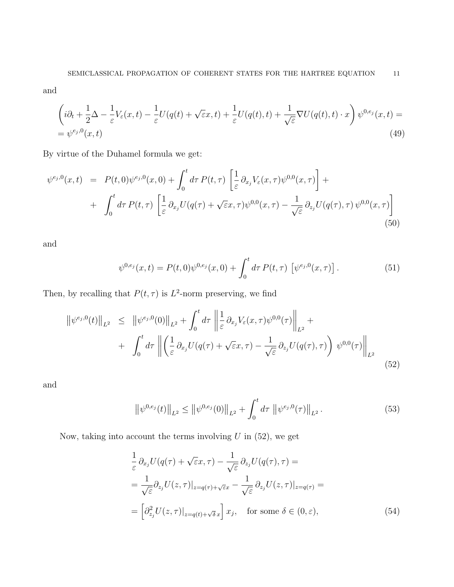and

$$
\left(i\partial_t + \frac{1}{2}\Delta - \frac{1}{\varepsilon}V_\varepsilon(x,t) - \frac{1}{\varepsilon}U(q(t) + \sqrt{\varepsilon}x,t) + \frac{1}{\varepsilon}U(q(t),t) + \frac{1}{\sqrt{\varepsilon}}\nabla U(q(t),t) \cdot x\right)\psi^{0,e_j}(x,t) =
$$
  
=  $\psi^{e_j,0}(x,t)$  (49)

By virtue of the Duhamel formula we get:

$$
\psi^{e_j,0}(x,t) = P(t,0)\psi^{e_j,0}(x,0) + \int_0^t d\tau P(t,\tau) \left[ \frac{1}{\varepsilon} \partial_{x_j} V_{\varepsilon}(x,\tau) \psi^{0,0}(x,\tau) \right] + \int_0^t d\tau P(t,\tau) \left[ \frac{1}{\varepsilon} \partial_{x_j} U(q(\tau) + \sqrt{\varepsilon}x,\tau) \psi^{0,0}(x,\tau) - \frac{1}{\sqrt{\varepsilon}} \partial_{z_j} U(q(\tau),\tau) \psi^{0,0}(x,\tau) \right]
$$
\n(50)

and

$$
\psi^{0,e_j}(x,t) = P(t,0)\psi^{0,e_j}(x,0) + \int_0^t d\tau P(t,\tau) \left[ \psi^{e_j,0}(x,\tau) \right]. \tag{51}
$$

Then, by recalling that  $P(t, \tau)$  is  $L^2$ -norm preserving, we find

$$
\|\psi^{e_j,0}(t)\|_{L^2} \leq \|\psi^{e_j,0}(0)\|_{L^2} + \int_0^t d\tau \left\|\frac{1}{\varepsilon}\partial_{x_j}V_{\varepsilon}(x,\tau)\psi^{0,0}(\tau)\right\|_{L^2} + + \int_0^t d\tau \left\|\left(\frac{1}{\varepsilon}\partial_{x_j}U(q(\tau) + \sqrt{\varepsilon}x,\tau) - \frac{1}{\sqrt{\varepsilon}}\partial_{z_j}U(q(\tau),\tau)\right)\psi^{0,0}(\tau)\right\|_{L^2}
$$
(52)

and

$$
\left\|\psi^{0,e_j}(t)\right\|_{L^2} \le \left\|\psi^{0,e_j}(0)\right\|_{L^2} + \int_0^t d\tau \, \left\|\psi^{e_j,0}(\tau)\right\|_{L^2}.
$$
\n(53)

Now, taking into account the terms involving  $U$  in (52), we get

$$
\frac{1}{\varepsilon} \partial_{x_j} U(q(\tau) + \sqrt{\varepsilon} x, \tau) - \frac{1}{\sqrt{\varepsilon}} \partial_{z_j} U(q(\tau), \tau) =
$$
\n
$$
= \frac{1}{\sqrt{\varepsilon}} \partial_{z_j} U(z, \tau)|_{z = q(\tau) + \sqrt{\varepsilon} x} - \frac{1}{\sqrt{\varepsilon}} \partial_{z_j} U(z, \tau)|_{z = q(\tau)} =
$$
\n
$$
= \left[ \partial_{z_j}^2 U(z, \tau)|_{z = q(t) + \sqrt{\delta} x} \right] x_j, \quad \text{for some } \delta \in (0, \varepsilon), \tag{54}
$$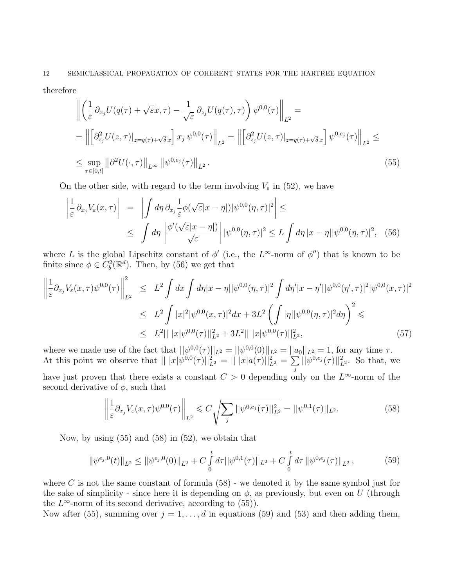therefore

$$
\left\| \left( \frac{1}{\varepsilon} \partial_{x_j} U(q(\tau) + \sqrt{\varepsilon} x, \tau) - \frac{1}{\sqrt{\varepsilon}} \partial_{z_j} U(q(\tau), \tau) \right) \psi^{0,0}(\tau) \right\|_{L^2} =
$$
\n
$$
= \left\| \left[ \partial_{z_j}^2 U(z, \tau) \big|_{z = q(\tau) + \sqrt{\delta} x} \right] x_j \psi^{0,0}(\tau) \right\|_{L^2} = \left\| \left[ \partial_{z_j}^2 U(z, \tau) \big|_{z = q(\tau) + \sqrt{\delta} x} \right] \psi^{0, e_j}(\tau) \right\|_{L^2} \le
$$
\n
$$
\le \sup_{\tau \in [0, t]} \left\| \partial^2 U(\cdot, \tau) \right\|_{L^\infty} \left\| \psi^{0, e_j}(\tau) \right\|_{L^2} .
$$
\n(55)

On the other side, with regard to the term involving  $V_{\varepsilon}$  in (52), we have

$$
\left| \frac{1}{\varepsilon} \partial_{x_j} V_{\varepsilon}(x, \tau) \right| = \left| \int d\eta \, \partial_{x_j} \frac{1}{\varepsilon} \phi(\sqrt{\varepsilon}|x - \eta|) |\psi^{0,0}(\eta, \tau)|^2 \right| \le
$$
  

$$
\leq \int d\eta \left| \frac{\phi'(\sqrt{\varepsilon}|x - \eta|)}{\sqrt{\varepsilon}} \right| |\psi^{0,0}(\eta, \tau)|^2 \leq L \int d\eta |x - \eta| |\psi^{0,0}(\eta, \tau)|^2, \quad (56)
$$

where L is the global Lipschitz constant of  $\phi'$  (i.e., the L<sup> $\infty$ </sup>-norm of  $\phi''$ ) that is known to be finite since  $\phi \in C_b^2(\mathbb{R}^d)$ . Then, by (56) we get that

$$
\left\| \frac{1}{\varepsilon} \partial_{x_j} V_{\varepsilon}(x,\tau) \psi^{0,0}(\tau) \right\|_{L^2}^2 \leq L^2 \int dx \int d\eta |x-\eta| |\psi^{0,0}(\eta,\tau)|^2 \int d\eta' |x-\eta'| |\psi^{0,0}(\eta',\tau)|^2 |\psi^{0,0}(x,\tau)|^2
$$
  

$$
\leq L^2 \int |x|^2 |\psi^{0,0}(x,\tau)|^2 dx + 3L^2 \left( \int |\eta| |\psi^{0,0}(\eta,\tau)|^2 d\eta \right)^2 \leq
$$
  

$$
\leq L^2 ||x|\psi^{0,0}(\tau)||_{L^2}^2 + 3L^2 ||x|\psi^{0,0}(\tau)||_{L^2}^2,
$$
 (57)

where we made use of the fact that  $||\psi^{0,0}(\tau)||_{L^2} = ||\psi^{0,0}(0)||_{L^2} = ||a_0||_{L^2} = 1$ , for any time  $\tau$ . At this point we observe that  $|| |x| \psi^{0,0}(\tau)||_{L^2}^2 = || |x| a(\tau) ||_{L^2}^2 = \sum_{\tau}$ j  $||\psi^{0,e_j}(\tau)||_{L^2}^2$ . So that, we have just proven that there exists a constant  $C > 0$  depending only on the  $L^{\infty}$ -norm of the second derivative of  $\phi$ , such that

$$
\left\| \frac{1}{\varepsilon} \partial_{x_j} V_{\varepsilon}(x, \tau) \psi^{0, 0}(\tau) \right\|_{L^2} \leqslant C \sqrt{\sum_j ||\psi^{0, e_j}(\tau)||_{L^2}^2} = ||\psi^{0, 1}(\tau)||_{L^2}.
$$
\n(58)

Now, by using  $(55)$  and  $(58)$  in  $(52)$ , we obtain that

$$
\|\psi^{e_j,0}(t)\|_{L^2} \le \|\psi^{e_j,0}(0)\|_{L^2} + C \int_0^t d\tau \|\psi^{0,1}(\tau)\|_{L^2} + C \int_0^t d\tau \|\psi^{0,e_j}(\tau)\|_{L^2},\tag{59}
$$

where C is not the same constant of formula  $(58)$  - we denoted it by the same symbol just for the sake of simplicity - since here it is depending on  $\phi$ , as previously, but even on U (through the  $L^{\infty}$ -norm of its second derivative, according to (55)).

Now after (55), summing over  $j = 1, ..., d$  in equations (59) and (53) and then adding them,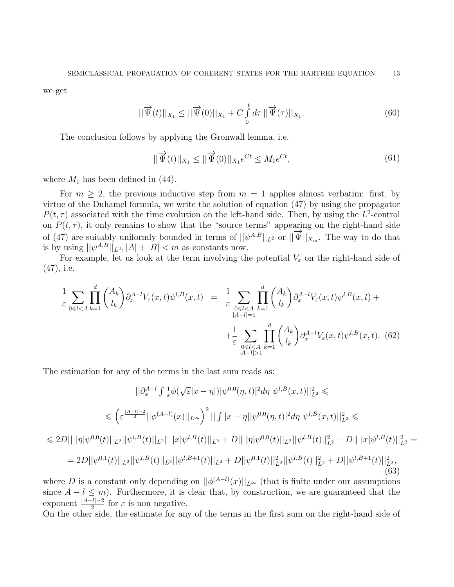we get

$$
||\overrightarrow{\Psi}(t)||_{X_1} \le ||\overrightarrow{\Psi}(0)||_{X_1} + C \int_{0}^{t} d\tau ||\overrightarrow{\Psi}(\tau)||_{X_1}.
$$
 (60)

The conclusion follows by applying the Gronwall lemma, i.e.

$$
||\overrightarrow{\Psi}(t)||_{X_1} \le ||\overrightarrow{\Psi}(0)||_{X_1}e^{Ct} \le M_1e^{Ct}, \tag{61}
$$

where  $M_1$  has been defined in (44).

For  $m \geq 2$ , the previous inductive step from  $m = 1$  applies almost verbatim: first, by virtue of the Duhamel formula, we write the solution of equation (47) by using the propagator  $P(t, \tau)$  associated with the time evolution on the left-hand side. Then, by using the  $L^2$ -control on  $P(t, \tau)$ , it only remains to show that the "source terms" appearing on the right-hand side of (47) are suitably uniformly bounded in terms of  $||\psi^{A,B}||_{L^2}$  or  $||\overrightarrow{\Psi}||_{X_m}$ . The way to do that is by using  $||\psi^{A,B}||_{L^2}$ ,  $|A| + |B| < m$  as constants now.

For example, let us look at the term involving the potential  $V_{\varepsilon}$  on the right-hand side of (47), i.e.

$$
\frac{1}{\varepsilon} \sum_{0 \leq l < A} \prod_{k=1}^{d} \binom{A_k}{l_k} \partial_x^{A-l} V_{\varepsilon}(x, t) \psi^{l, B}(x, t) = \frac{1}{\varepsilon} \sum_{\substack{0 \leq l < A \\ |A-l| = 1}} \prod_{k=1}^{d} \binom{A_k}{l_k} \partial_x^{A-l} V_{\varepsilon}(x, t) \psi^{l, B}(x, t) + \frac{1}{\varepsilon} \sum_{\substack{0 \leq l < A \\ |A-l| > 1}} \prod_{k=1}^{d} \binom{A_k}{l_k} \partial_x^{A-l} V_{\varepsilon}(x, t) \psi^{l, B}(x, t). \tag{62}
$$

The estimation for any of the terms in the last sum reads as:

$$
||\partial_x^{A-l} \int \frac{1}{\varepsilon} \phi(\sqrt{\varepsilon}|x-\eta|) |\psi^{0,0}(\eta,t)|^2 d\eta \ \psi^{l,B}(x,t) ||_{L^2}^2 \leq
$$
  

$$
\leq \left( \varepsilon^{\frac{|A-l|-2}{2}} ||\phi^{(A-l)}(x)||_{L^{\infty}} \right)^2 ||\int |x-\eta||\psi^{0,0}(\eta,t)|^2 d\eta \ \psi^{l,B}(x,t) ||_{L^2}^2 \leq
$$
  

$$
\leq 2D ||\|\eta|\psi^{0,0}(t)||_{L^2} ||\psi^{l,B}(t)||_{L^2} ||\|x|\psi^{l,B}(t)||_{L^2} + D ||\|\eta|\psi^{0,0}(t)||_{L^2} ||\psi^{l,B}(t)||_{L^2}^2 + D ||\|x|\psi^{l,B}(t)||_{L^2}^2
$$
  

$$
= 2D ||\psi^{0,1}(t)||_{L^2} ||\psi^{l,B}(t)||_{L^2} ||\psi^{l,B+1}(t)||_{L^2} + D ||\psi^{0,1}(t)||_{L^2}^2 ||\psi^{l,B}(t)||_{L^2}^2 + D ||\psi^{l,B+1}(t)||_{L^2}^2,
$$
  
(63)

where D is a constant only depending on  $||\phi^{(A-l)}(x)||_{L^{\infty}}$  (that is finite under our assumptions since  $A - l \leq m$ ). Furthermore, it is clear that, by construction, we are guaranteed that the exponent  $\frac{|A-l|-2}{2}$  for  $\varepsilon$  is non negative.

On the other side, the estimate for any of the terms in the first sum on the right-hand side of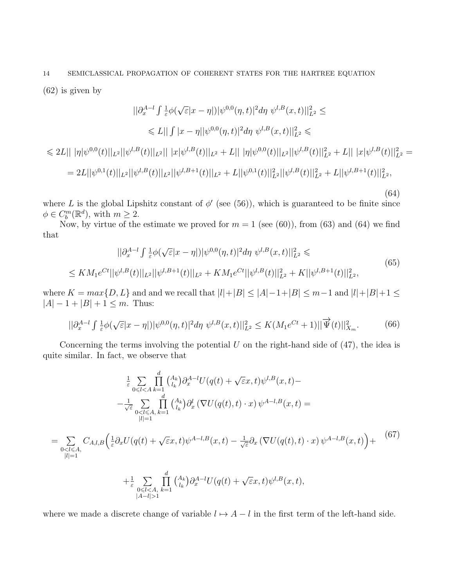(62) is given by

 $=$   $\Sigma$  $0<\overline{l}\leqslant A,$  $|l|=1$ 

$$
||\partial_x^{A-l} \int \frac{1}{\varepsilon} \phi(\sqrt{\varepsilon}|x-\eta|) |\psi^{0,0}(\eta,t)|^2 d\eta \ \psi^{l,B}(x,t) ||_{L^2}^2 \le
$$
  
\n
$$
\leq L|| \int |x-\eta| |\psi^{0,0}(\eta,t)|^2 d\eta \ \psi^{l,B}(x,t) ||_{L^2}^2 \le
$$
  
\n
$$
\leq 2L|| |\eta| \psi^{0,0}(t) ||_{L^2} ||\psi^{l,B}(t) ||_{L^2} || |x|\psi^{l,B}(t) ||_{L^2} + L|| |\eta| \psi^{0,0}(t) ||_{L^2} ||\psi^{l,B}(t) ||_{L^2}^2 + L|| |x|\psi^{l,B}(t) ||_{L^2}^2
$$
  
\n
$$
= 2L||\psi^{0,1}(t)||_{L^2} ||\psi^{l,B}(t)||_{L^2} ||\psi^{l,B+1}(t) ||_{L^2} + L||\psi^{0,1}(t) ||_{L^2}^2 ||\psi^{l,B}(t) ||_{L^2}^2 + L||\psi^{l,B+1}(t) ||_{L^2}^2,
$$
  
\n(64)

where L is the global Lipshitz constant of  $\phi'$  (see (56)), which is guaranteed to be finite since  $\phi \in C_b^m(\mathbb{R}^d)$ , with  $m \geq 2$ .

Now, by virtue of the estimate we proved for  $m = 1$  (see (60)), from (63) and (64) we find that

$$
||\partial_x^{A-l} \int \frac{1}{\varepsilon} \phi(\sqrt{\varepsilon}|x-\eta|) |\psi^{0,0}(\eta,t)|^2 d\eta \ \psi^{l,B}(x,t) ||_{L^2}^2 \leq
$$
  

$$
\leq KM_1 e^{Ct} ||\psi^{l,B}(t)||_{L^2} ||\psi^{l,B+1}(t)||_{L^2} + KM_1 e^{Ct} ||\psi^{l,B}(t)||_{L^2}^2 + K ||\psi^{l,B+1}(t)||_{L^2}^2,
$$
(65)

where  $K = max\{D, L\}$  and and we recall that  $|l|+|B| \leq |A|-1+|B| \leq m-1$  and  $|l|+|B|+1 \leq$  $|A| - 1 + |B| + 1 \leq m$ . Thus:

$$
||\partial_x^{A-l} \int \frac{1}{\varepsilon} \phi(\sqrt{\varepsilon}|x-\eta|) |\psi^{0,0}(\eta,t)|^2 d\eta \ \psi^{l,B}(x,t) ||_{L^2}^2 \le K(M_1 e^{Ct} + 1) ||\overrightarrow{\Psi}(t)||_{X_m}^2. \tag{66}
$$

Concerning the terms involving the potential  $U$  on the right-hand side of  $(47)$ , the idea is quite similar. In fact, we observe that

$$
\frac{1}{\varepsilon} \sum_{0 \le l < A} \prod_{k=1}^{d} {A_k \choose l_k} \partial_x^{A-l} U(q(t) + \sqrt{\varepsilon}x, t) \psi^{l, B}(x, t) -
$$
\n
$$
-\frac{1}{\sqrt{\varepsilon}} \sum_{0 < l \le A, k=1} \prod_{|l|=1}^{d} {A_k \choose l_k} \partial_x^l (\nabla U(q(t), t) \cdot x) \psi^{A-l, B}(x, t) =
$$
\n
$$
C_{A,l, B} \left( \frac{1}{\varepsilon} \partial_x U(q(t) + \sqrt{\varepsilon}x, t) \psi^{A-l, B}(x, t) - \frac{1}{\sqrt{\varepsilon}} \partial_x (\nabla U(q(t), t) \cdot x) \psi^{A-l, B}(x, t) \right) +
$$
\n(67)

$$
+\frac{1}{\varepsilon} \sum_{\substack{0 \leq l < A, \\ |A-l| > 1}} \prod_{k=1}^d {A_k \choose l_k} \partial_x^{A-l} U(q(t) + \sqrt{\varepsilon}x, t) \psi^{l, B}(x, t),
$$

where we made a discrete change of variable  $l \mapsto A - l$  in the first term of the left-hand side.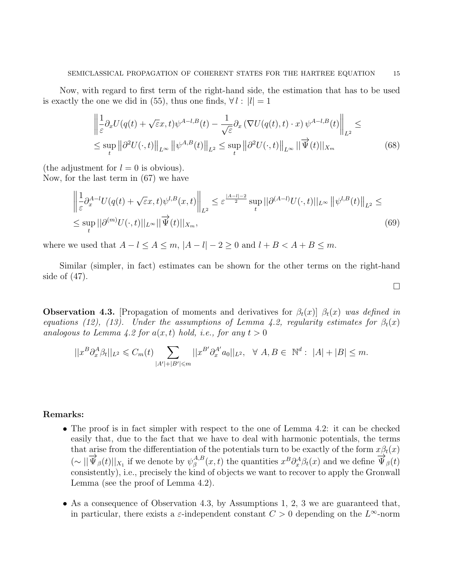Now, with regard to first term of the right-hand side, the estimation that has to be used is exactly the one we did in (55), thus one finds,  $\forall l : |l| = 1$ 

$$
\left\| \frac{1}{\varepsilon} \partial_x U(q(t) + \sqrt{\varepsilon} x, t) \psi^{A-l, B}(t) - \frac{1}{\sqrt{\varepsilon}} \partial_x \left( \nabla U(q(t), t) \cdot x \right) \psi^{A-l, B}(t) \right\|_{L^2} \le
$$
\n
$$
\le \sup_t \left\| \partial^2 U(\cdot, t) \right\|_{L^\infty} \left\| \psi^{A, B}(t) \right\|_{L^2} \le \sup_t \left\| \partial^2 U(\cdot, t) \right\|_{L^\infty} \left\| \overrightarrow{\Psi}(t) \right\|_{X_m} \tag{68}
$$

(the adjustment for  $l = 0$  is obvious).

Now, for the last term in (67) we have

$$
\left\| \frac{1}{\varepsilon} \partial_x^{A-l} U(q(t) + \sqrt{\varepsilon} x, t) \psi^{l, B}(x, t) \right\|_{L^2} \le \varepsilon^{\frac{|A-l|-2}{2}} \sup_t ||\partial^{(A-l)} U(\cdot, t)||_{L^\infty} ||\psi^{l, B}(t)||_{L^2} \le
$$
  

$$
\le \sup_t ||\partial^{(m)} U(\cdot, t)||_{L^\infty} ||\overrightarrow{\Psi}(t)||_{X_m},
$$
 (69)

 $\Box$ 

where we used that  $A - l \le A \le m$ ,  $|A - l| - 2 \ge 0$  and  $l + B < A + B \le m$ .

Similar (simpler, in fact) estimates can be shown for the other terms on the right-hand side of (47).

**Observation 4.3.** [Propagation of moments and derivatives for  $\beta_t(x)$ ]  $\beta_t(x)$  was defined in equations (12), (13). Under the assumptions of Lemma 4.2, regularity estimates for  $\beta_t(x)$ analogous to Lemma 4.2 for  $a(x,t)$  hold, i.e., for any  $t > 0$ 

$$
||x^B \partial_x^A \beta_t||_{L^2} \leq C_m(t) \sum_{|A'|+|B'| \leq m} ||x^{B'} \partial_x^{A'} a_0||_{L^2}, \quad \forall A, B \in \mathbb{N}^d : |A|+|B| \leq m.
$$

#### Remarks:

- The proof is in fact simpler with respect to the one of Lemma 4.2: it can be checked easily that, due to the fact that we have to deal with harmonic potentials, the terms that arise from the differentiation of the potentials turn to be exactly of the form  $x\beta_t(x)$  $(\sim ||\overrightarrow{\Psi}_{\beta}(t)||_{X_1}$  if we denote by  $\psi_{\beta}^{A,B}$  $\frac{A}{\beta}(x,t)$  the quantities  $x^B \partial_x^A \beta_t(x)$  and we define  $\overrightarrow{\Psi}_{\beta}(t)$ consistently), i.e., precisely the kind of objects we want to recover to apply the Gronwall Lemma (see the proof of Lemma 4.2).
- As a consequence of Observation 4.3, by Assumptions 1, 2, 3 we are guaranteed that, in particular, there exists a  $\varepsilon$ -independent constant  $C > 0$  depending on the  $L^{\infty}$ -norm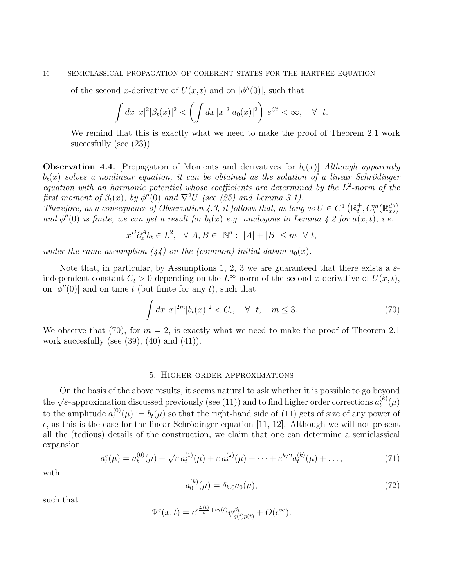#### 16 SEMICLASSICAL PROPAGATION OF COHERENT STATES FOR THE HARTREE EQUATION

of the second x-derivative of  $U(x,t)$  and on  $|\phi''(0)|$ , such that

$$
\int dx |x|^2 |\beta_t(x)|^2 < \left( \int dx |x|^2 |a_0(x)|^2 \right) e^{Ct} < \infty, \quad \forall \quad t.
$$

We remind that this is exactly what we need to make the proof of Theorem 2.1 work succesfully (see  $(23)$ ).

**Observation 4.4.** [Propagation of Moments and derivatives for  $b_t(x)$ ] Although apparently  $b_t(x)$  solves a nonlinear equation, it can be obtained as the solution of a linear Schrödinger equation with an harmonic potential whose coefficients are determined by the  $L^2$ -norm of the first moment of  $\beta_t(x)$ , by  $\phi''(0)$  and  $\nabla^2 U$  (see (25) and Lemma 3.1).

Therefore, as a consequence of Observation 4.3, it follows that, as long as  $U \in C^1(\mathbb{R}^+_t, C^m_b(\mathbb{R}^d_x))$ and  $\phi''(0)$  is finite, we can get a result for  $b_t(x)$  e.g. analogous to Lemma 4.2 for  $a(x,t)$ , i.e.

$$
x^B \partial_x^A b_t \in L^2, \quad \forall \ A, B \in \mathbb{N}^d: \ |A| + |B| \le m \quad \forall \ t,
$$

under the same assumption  $(44)$  on the (common) initial datum  $a_0(x)$ .

Note that, in particular, by Assumptions 1, 2, 3 we are guaranteed that there exists a  $\varepsilon$ independent constant  $C_t > 0$  depending on the L<sup>∞</sup>-norm of the second x-derivative of  $U(x, t)$ , on  $|\phi''(0)|$  and on time t (but finite for any t), such that

$$
\int dx \, |x|^{2m} |b_t(x)|^2 < C_t, \quad \forall \ t, \quad m \le 3. \tag{70}
$$

We observe that (70), for  $m = 2$ , is exactly what we need to make the proof of Theorem 2.1 work succesfully (see  $(39)$ ,  $(40)$  and  $(41)$ ).

#### 5. Higher order approximations

On the basis of the above results, it seems natural to ask whether it is possible to go beyond On the basis of the above results, it seems hattual to ask whether it is possible to go beyond the  $\sqrt{\varepsilon}$ -approximation discussed previously (see (11)) and to find higher order corrections  $a_k^{(k)}$  $\binom{(\kappa)}{t}(\mu)$ to the amplitude  $a_t^{(0)}$  $t^{(0)}(u) := b_t(u)$  so that the right-hand side of (11) gets of size of any power of  $\epsilon$ , as this is the case for the linear Schrödinger equation [11, 12]. Although we will not present all the (tedious) details of the construction, we claim that one can determine a semiclassical expansion

$$
a_t^{\varepsilon}(\mu) = a_t^{(0)}(\mu) + \sqrt{\varepsilon} a_t^{(1)}(\mu) + \varepsilon a_t^{(2)}(\mu) + \dots + \varepsilon^{k/2} a_t^{(k)}(\mu) + \dots,\tag{71}
$$

with

$$
a_0^{(k)}(\mu) = \delta_{k,0} a_0(\mu),\tag{72}
$$

such that

$$
\Psi^{\varepsilon}(x,t) = e^{i\frac{\mathcal{L}(t)}{\varepsilon} + i\gamma(t)} \psi^{\beta_t}_{q(t)p(t)} + O(\epsilon^{\infty}).
$$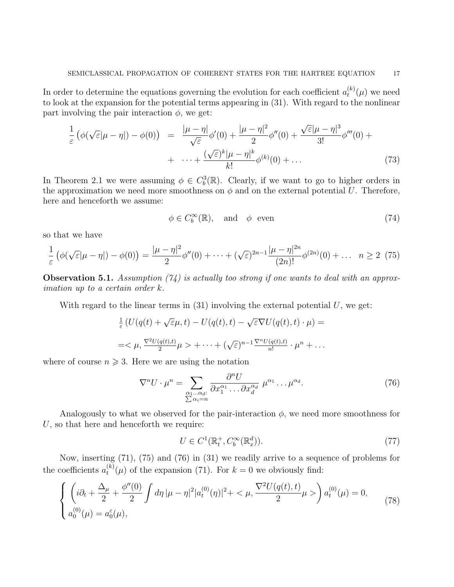In order to determine the equations governing the evolution for each coefficient  $a_t^{(k)}$  $t^{(\kappa)}(\mu)$  we need to look at the expansion for the potential terms appearing in (31). With regard to the nonlinear part involving the pair interaction  $\phi$ , we get:

$$
\frac{1}{\varepsilon} \left( \phi(\sqrt{\varepsilon}|\mu - \eta|) - \phi(0) \right) = \frac{|\mu - \eta|}{\sqrt{\varepsilon}} \phi'(0) + \frac{|\mu - \eta|^2}{2} \phi''(0) + \frac{\sqrt{\varepsilon}|\mu - \eta|^3}{3!} \phi'''(0) + \cdots + \frac{(\sqrt{\varepsilon})^k |\mu - \eta|^k}{k!} \phi^{(k)}(0) + \cdots \tag{73}
$$

In Theorem 2.1 we were assuming  $\phi \in C_b^3(\mathbb{R})$ . Clearly, if we want to go to higher orders in the approximation we need more smoothness on  $\phi$  and on the external potential U. Therefore, here and henceforth we assume:

$$
\phi \in C_b^{\infty}(\mathbb{R}), \quad \text{and} \quad \phi \quad \text{even} \tag{74}
$$

so that we have

$$
\frac{1}{\varepsilon} \left( \phi(\sqrt{\varepsilon}|\mu - \eta|) - \phi(0) \right) = \frac{|\mu - \eta|^2}{2} \phi''(0) + \dots + (\sqrt{\varepsilon})^{2n-1} \frac{|\mu - \eta|^{2n}}{(2n)!} \phi^{(2n)}(0) + \dots \quad n \ge 2 \tag{75}
$$

**Observation 5.1.** Assumption (74) is actually too strong if one wants to deal with an approximation up to a certain order k.

With regard to the linear terms in  $(31)$  involving the external potential U, we get:

$$
\frac{1}{\varepsilon} \left( U(q(t) + \sqrt{\varepsilon}\mu, t) - U(q(t), t) - \sqrt{\varepsilon} \nabla U(q(t), t) \cdot \mu \right) =
$$
\n
$$
= \langle \mu, \frac{\nabla^2 U(q(t), t)}{2} \mu \rangle + \dots + (\sqrt{\varepsilon})^{n-1} \frac{\nabla^n U(q(t), t)}{n!} \cdot \mu^n + \dots
$$

where of course  $n \geqslant 3$ . Here we are using the notation

$$
\nabla^n U \cdot \mu^n = \sum_{\substack{\alpha_1 \dots \alpha_d:\\ \sum \alpha_i = n}} \frac{\partial^n U}{\partial x_1^{\alpha_1} \dots \partial x_d^{\alpha_d}} \ \mu^{\alpha_1} \dots \mu^{\alpha_d}.
$$
 (76)

Analogously to what we observed for the pair-interaction  $\phi$ , we need more smoothness for  $U$ , so that here and henceforth we require:

$$
U \in C^1(\mathbb{R}_t^+, C_b^{\infty}(\mathbb{R}_x^d)).
$$
\n
$$
(77)
$$

Now, inserting (71), (75) and (76) in (31) we readily arrive to a sequence of problems for the coefficients  $a_t^{(k)}$  $t^{(k)}(\mu)$  of the expansion (71). For  $k = 0$  we obviously find:

$$
\begin{cases} \left( i\partial_t + \frac{\Delta_\mu}{2} + \frac{\phi''(0)}{2} \int d\eta \, |\mu - \eta|^2 |a_t^{(0)}(\eta)|^2 + \langle \mu, \frac{\nabla^2 U(q(t), t)}{2} \mu \rangle \right) a_t^{(0)}(\mu) = 0, \\ a_0^{(0)}(\mu) = a_0^{\varepsilon}(\mu), \end{cases} \tag{78}
$$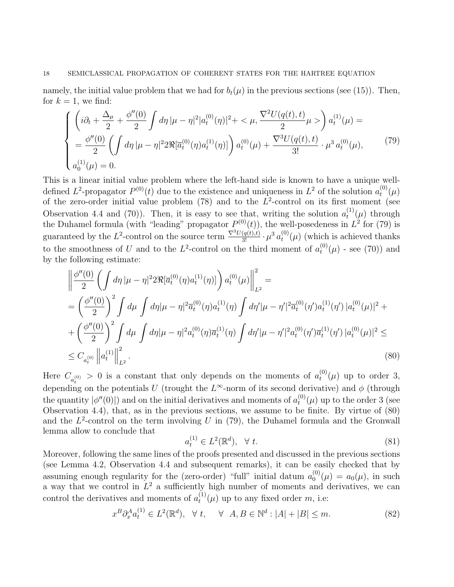namely, the initial value problem that we had for  $b_t(\mu)$  in the previous sections (see (15)). Then, for  $k = 1$ , we find:

$$
\begin{cases}\n\left(i\partial_{t} + \frac{\Delta_{\mu}}{2} + \frac{\phi''(0)}{2} \int d\eta \, |\mu - \eta|^{2} |a_{t}^{(0)}(\eta)|^{2} + \langle \mu, \frac{\nabla^{2}U(q(t), t)}{2} \mu \rangle \right) a_{t}^{(1)}(\mu) = \\
= \frac{\phi''(0)}{2} \left( \int d\eta \, |\mu - \eta|^{2} 2 \Re[\overline{a}_{t}^{(0)}(\eta) a_{t}^{(1)}(\eta)] \right) a_{t}^{(0)}(\mu) + \frac{\nabla^{3}U(q(t), t)}{3!} \cdot \mu^{3} a_{t}^{(0)}(\mu),\n\end{cases} (79)
$$
\n
$$
a_{0}^{(1)}(\mu) = 0.
$$

This is a linear initial value problem where the left-hand side is known to have a unique welldefined  $L^2$ -propagator  $P^{(0)}(t)$  due to the existence and uniqueness in  $L^2$  of the solution  $a_t^{(0)}$  $\binom{^{(0)}}{t}(\mu)$ of the zero-order initial value problem (78) and to the  $L^2$ -control on its first moment (see Observation 4.4 and (70)). Then, it is easy to see that, writing the solution  $a_t^{(1)}$  $t^{(1)}(\mu)$  through the Duhamel formula (with "leading" propagator  $P^{(0)}(t)$ ), the well-posedeness in  $L^2$  for (79) is guaranteed by the L<sup>2</sup>-control on the source term  $\frac{\nabla^3 U(q(t),t)}{3!} \cdot \mu^3 a_t^{(0)}$  $t_t^{(0)}(\mu)$  (which is achieved thanks to the smoothness of U and to the L<sup>2</sup>-control on the third moment of  $a_t^{(0)}$  $t^{(0)}(\mu)$  - see (70)) and by the following estimate:

$$
\left\| \frac{\phi''(0)}{2} \left( \int d\eta \, |\mu - \eta|^2 2\Re[\overline{a}_t^{(0)}(\eta) a_t^{(1)}(\eta)] \right) a_t^{(0)}(\mu) \right\|_{L^2}^2 =
$$
\n
$$
= \left( \frac{\phi''(0)}{2} \right)^2 \int d\mu \int d\eta |\mu - \eta|^2 \overline{a}_t^{(0)}(\eta) a_t^{(1)}(\eta) \int d\eta' |\mu - \eta'|^2 \overline{a}_t^{(0)}(\eta') a_t^{(1)}(\eta') |a_t^{(0)}(\mu)|^2 +
$$
\n
$$
+ \left( \frac{\phi''(0)}{2} \right)^2 \int d\mu \int d\eta |\mu - \eta|^2 a_t^{(0)}(\eta) \overline{a}_t^{(1)}(\eta) \int d\eta' |\mu - \eta'|^2 a_t^{(0)}(\eta') \overline{a}_t^{(1)}(\eta') |a_t^{(0)}(\mu)|^2 \le
$$
\n
$$
\le C_{a_t^{(0)}} \left\| a_t^{(1)} \right\|_{L^2}^2.
$$
\n(80)

Here  $C_{a_{t}^{(0)}} > 0$  is a constant that only depends on the moments of  $a_{t}^{(0)}$ depending on the potentials U (trought the  $L^{\infty}$ -norm of its second derivative) and φ (through  $t^{(0)}(\mu)$  up to order 3, the quantity  $|\phi''(0)|$  and on the initial derivatives and moments of  $a_t^{(0)}$  $t_t^{(0)}(\mu)$  up to the order 3 (see Observation 4.4), that, as in the previous sections, we assume to be finite. By virtue of  $(80)$ and the  $L^2$ -control on the term involving U in (79), the Duhamel formula and the Gronwall lemma allow to conclude that

$$
a_t^{(1)} \in L^2(\mathbb{R}^d), \quad \forall \ t. \tag{81}
$$

Moreover, following the same lines of the proofs presented and discussed in the previous sections (see Lemma 4.2, Observation 4.4 and subsequent remarks), it can be easily checked that by assuming enough regularity for the (zero-order) "full" initial datum  $a_0^{(0)}$  $_0^{(0)}(\mu) = a_0(\mu)$ , in such a way that we control in  $L^2$  a sufficiently high number of moments and derivatives, we can control the derivatives and moments of  $a_t^{(1)}$  $t^{(1)}(\mu)$  up to any fixed order m, i.e:

$$
x^{B} \partial_{x}^{A} a_{t}^{(1)} \in L^{2}(\mathbb{R}^{d}), \quad \forall \ t, \quad \forall \ A, B \in \mathbb{N}^{d} : |A| + |B| \leq m. \tag{82}
$$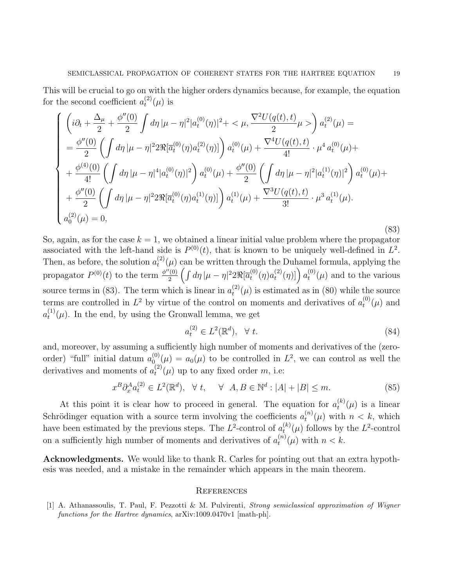This will be crucial to go on with the higher orders dynamics because, for example, the equation for the second coefficient  $a_t^{(2)}$  $t^{(2)}(\mu)$  is

$$
\begin{cases}\n\left(i\partial_{t} + \frac{\Delta_{\mu}}{2} + \frac{\phi''(0)}{2} \int d\eta \, |\mu - \eta|^{2} |a_{t}^{(0)}(\eta)|^{2} + \langle \mu, \frac{\nabla^{2}U(q(t), t)}{2} \mu \rangle \right) a_{t}^{(2)}(\mu) = \\
= \frac{\phi''(0)}{2} \left( \int d\eta \, |\mu - \eta|^{2} 2\Re[\overline{a}_{t}^{(0)}(\eta) a_{t}^{(2)}(\eta)] \right) a_{t}^{(0)}(\mu) + \frac{\nabla^{4}U(q(t), t)}{4!} \cdot \mu^{4} a_{t}^{(0)}(\mu) + \\
+ \frac{\phi^{(4)}(0)}{4!} \left( \int d\eta \, |\mu - \eta|^{4} |a_{t}^{(0)}(\eta)|^{2} \right) a_{t}^{(0)}(\mu) + \frac{\phi''(0)}{2} \left( \int d\eta \, |\mu - \eta|^{2} |a_{t}^{(1)}(\eta)|^{2} \right) a_{t}^{(0)}(\mu) + \\
+ \frac{\phi''(0)}{2} \left( \int d\eta \, |\mu - \eta|^{2} 2\Re[\overline{a}_{t}^{(0)}(\eta) a_{t}^{(1)}(\eta)] \right) a_{t}^{(1)}(\mu) + \frac{\nabla^{3}U(q(t), t)}{3!} \cdot \mu^{3} a_{t}^{(1)}(\mu).\n\end{cases}
$$
\n(83)

So, again, as for the case  $k = 1$ , we obtained a linear initial value problem where the propagator associated with the left-hand side is  $P^{(0)}(t)$ , that is known to be uniquely well-defined in  $L^2$ . Then, as before, the solution  $a_t^{(2)}$  $t^{(2)}(\mu)$  can be written through the Duhamel formula, applying the propagator  $P^{(0)}(t)$  to the term  $\frac{\phi''(0)}{2}$  $\int_{2}^{\prime(0)}\left(\int d\eta\,|\mu-\eta|^22\Re[\overline{a}^{(0)}_t\right]$  $t^{(0)}(\eta)a_t^{(2)}$  $\left[ \begin{array}{c} (2)(\eta) \end{array} \right]$   $a_t^{(0)}$  $t^{(0)}(\mu)$  and to the various source terms in (83). The term which is linear in  $a_t^{(2)}$  $t^{(2)}(\mu)$  is estimated as in (80) while the source terms are controlled in  $L^2$  by virtue of the control on moments and derivatives of  $a_t^{(0)}$  $t^{\text{(U)}}(\mu)$  and  $a_t^{(1)}$  $t^{(1)}(\mu)$ . In the end, by using the Gronwall lemma, we get

$$
a_t^{(2)} \in L^2(\mathbb{R}^d), \quad \forall \ t. \tag{84}
$$

and, moreover, by assuming a sufficiently high number of moments and derivatives of the (zeroorder) "full" initial datum  $a_0^{(0)}$  $\phi_0^{(0)}(\mu) = a_0(\mu)$  to be controlled in  $L^2$ , we can control as well the derivatives and moments of  $a_t^{(2)}$  $t^{(2)}(\mu)$  up to any fixed order m, i.e:

$$
x^{B}\partial_{x}^{A}a_{t}^{(2)} \in L^{2}(\mathbb{R}^{d}), \quad \forall \ t, \quad \forall \ A, B \in \mathbb{N}^{d} : |A| + |B| \leq m. \tag{85}
$$

At this point it is clear how to proceed in general. The equation for  $a_t^{(k)}$  $t^{(\kappa)}(\mu)$  is a linear Schrödinger equation with a source term involving the coefficients  $a_t^{(n)}$  $t^{(n)}(\mu)$  with  $n < k$ , which have been estimated by the previous steps. The  $L^2$ -control of  $a_t^{(k)}$  $t_t^{(k)}(\mu)$  follows by the L<sup>2</sup>-control on a sufficiently high number of moments and derivatives of  $a_t^{(n)}$  $t^{(n)}(\mu)$  with  $n < k$ .

Acknowledgments. We would like to thank R. Carles for pointing out that an extra hypothesis was needed, and a mistake in the remainder which appears in the main theorem.

#### **REFERENCES**

[1] A. Athanassoulis, T. Paul, F. Pezzotti & M. Pulvirenti, Strong semiclassical approximation of Wigner functions for the Hartree dynamics,  $\arXiv:1009.0470v1$  [math-ph].